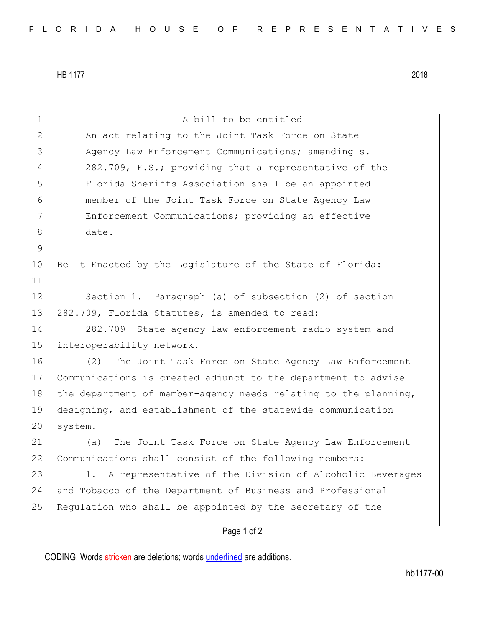HB 1177 2018

| $\mathbf 1$    | A bill to be entitled                                           |
|----------------|-----------------------------------------------------------------|
| $\overline{2}$ | An act relating to the Joint Task Force on State                |
| 3              | Agency Law Enforcement Communications; amending s.              |
| 4              | 282.709, F.S.; providing that a representative of the           |
| 5              | Florida Sheriffs Association shall be an appointed              |
| 6              | member of the Joint Task Force on State Agency Law              |
| 7              | Enforcement Communications; providing an effective              |
| 8              | date.                                                           |
| $\mathsf 9$    |                                                                 |
| 10             | Be It Enacted by the Legislature of the State of Florida:       |
| 11             |                                                                 |
| 12             | Section 1. Paragraph (a) of subsection (2) of section           |
| 13             | 282.709, Florida Statutes, is amended to read:                  |
| 14             | 282.709 State agency law enforcement radio system and           |
| 15             | interoperability network.-                                      |
| 16             | (2)<br>The Joint Task Force on State Agency Law Enforcement     |
| 17             | Communications is created adjunct to the department to advise   |
| 18             | the department of member-agency needs relating to the planning, |
| 19             | designing, and establishment of the statewide communication     |
| 20             | system.                                                         |
| 21             | The Joint Task Force on State Agency Law Enforcement<br>(a)     |
| 22             | Communications shall consist of the following members:          |
| 23             | 1. A representative of the Division of Alcoholic Beverages      |
| 24             | and Tobacco of the Department of Business and Professional      |
| 25             | Regulation who shall be appointed by the secretary of the       |
|                | Page 1 of 2                                                     |

CODING: Words stricken are deletions; words underlined are additions.